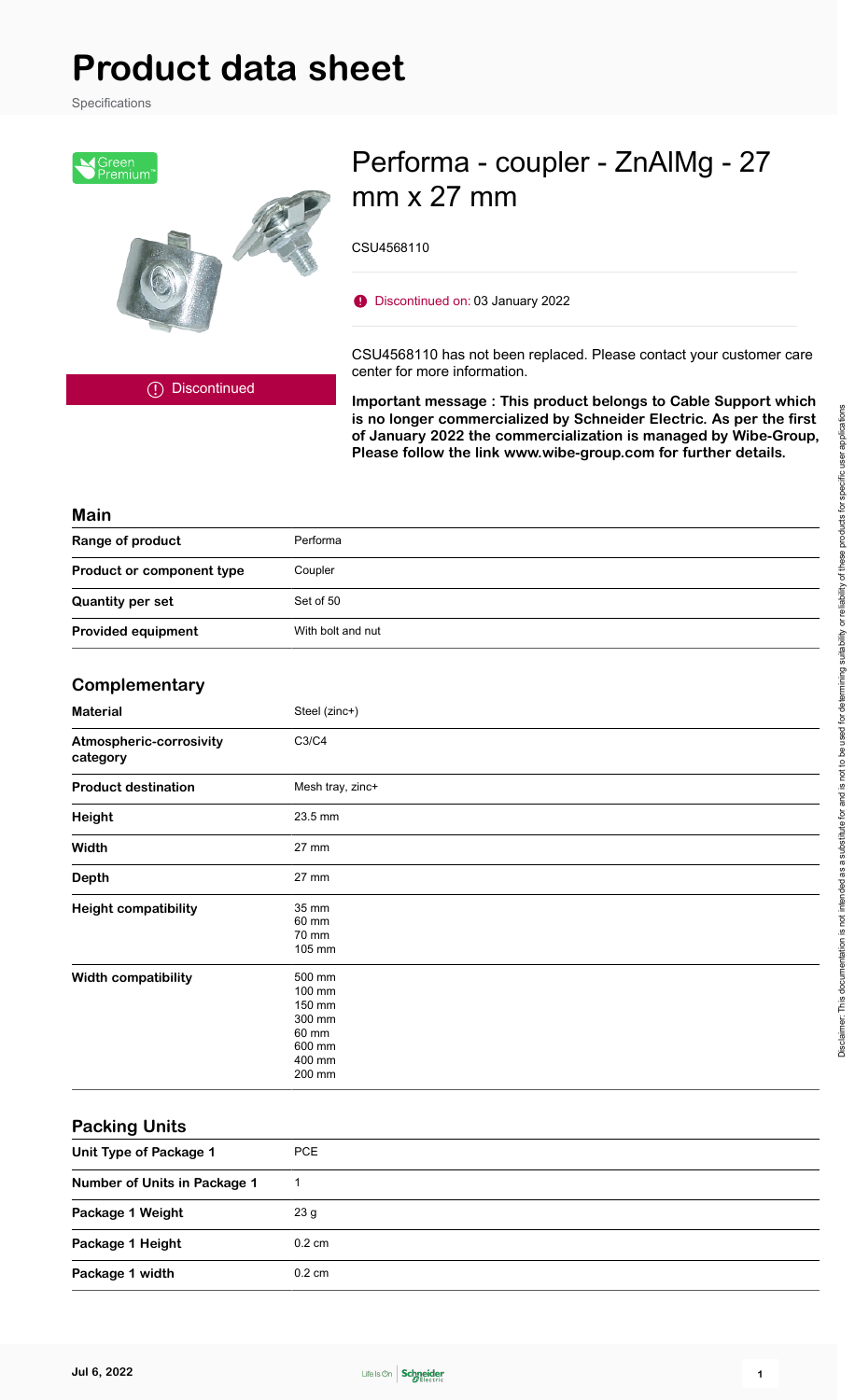# **Product data sheet**

Specifications



## Performa - coupler - ZnAlMg - 27 mm x 27 mm

CSU4568110

Discontinued on: 03 January 2022

CSU4568110 has not been replaced. Please contact your customer care center for more information.

Discontinued

**Important message : This product belongs to Cable Support which is no longer commercialized by Schneider Electric. As per the first of January 2022 the commercialization is managed by Wibe-Group, Please follow the link www.wibe-group.com for further details.**

#### **Main**

| Range of product          | Performa          |
|---------------------------|-------------------|
| Product or component type | Coupler           |
| <b>Quantity per set</b>   | Set of 50         |
| <b>Provided equipment</b> | With bolt and nut |

#### **Complementary**

| <b>Material</b>                     | Steel (zinc+)                                                               |
|-------------------------------------|-----------------------------------------------------------------------------|
| Atmospheric-corrosivity<br>category | C3/C4                                                                       |
| <b>Product destination</b>          | Mesh tray, zinc+                                                            |
| Height                              | 23.5 mm                                                                     |
| Width                               | 27 mm                                                                       |
| <b>Depth</b>                        | 27 mm                                                                       |
| <b>Height compatibility</b>         | 35 mm<br>60 mm<br>70 mm<br>105 mm                                           |
| Width compatibility                 | 500 mm<br>100 mm<br>150 mm<br>300 mm<br>60 mm<br>600 mm<br>400 mm<br>200 mm |

#### **Packing Units**

| Unit Type of Package 1       | <b>PCE</b>       |
|------------------------------|------------------|
| Number of Units in Package 1 |                  |
| Package 1 Weight             | 23 g             |
| Package 1 Height             | $0.2 \text{ cm}$ |
| Package 1 width              | $0.2 \text{ cm}$ |